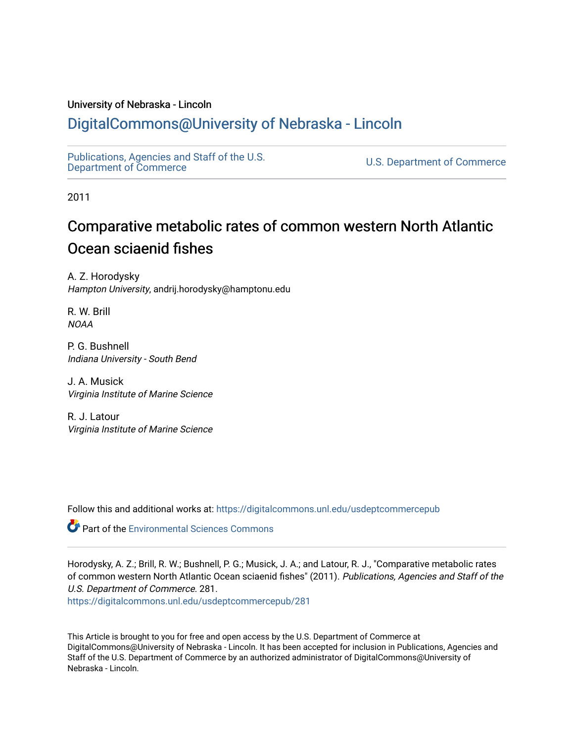### University of Nebraska - Lincoln

## [DigitalCommons@University of Nebraska - Lincoln](https://digitalcommons.unl.edu/)

[Publications, Agencies and Staff of the U.S.](https://digitalcommons.unl.edu/usdeptcommercepub)

U.S. [Department of Commerce](https://digitalcommons.unl.edu/usdeptcommercepub)

2011

# Comparative metabolic rates of common western North Atlantic Ocean sciaenid fishes

A. Z. Horodysky Hampton University, andrij.horodysky@hamptonu.edu

R. W. Brill NOAA

P. G. Bushnell Indiana University - South Bend

J. A. Musick Virginia Institute of Marine Science

R. J. Latour Virginia Institute of Marine Science

Follow this and additional works at: [https://digitalcommons.unl.edu/usdeptcommercepub](https://digitalcommons.unl.edu/usdeptcommercepub?utm_source=digitalcommons.unl.edu%2Fusdeptcommercepub%2F281&utm_medium=PDF&utm_campaign=PDFCoverPages)

**Part of the [Environmental Sciences Commons](http://network.bepress.com/hgg/discipline/167?utm_source=digitalcommons.unl.edu%2Fusdeptcommercepub%2F281&utm_medium=PDF&utm_campaign=PDFCoverPages)** 

Horodysky, A. Z.; Brill, R. W.; Bushnell, P. G.; Musick, J. A.; and Latour, R. J., "Comparative metabolic rates of common western North Atlantic Ocean sciaenid fishes" (2011). Publications, Agencies and Staff of the U.S. Department of Commerce. 281.

[https://digitalcommons.unl.edu/usdeptcommercepub/281](https://digitalcommons.unl.edu/usdeptcommercepub/281?utm_source=digitalcommons.unl.edu%2Fusdeptcommercepub%2F281&utm_medium=PDF&utm_campaign=PDFCoverPages) 

This Article is brought to you for free and open access by the U.S. Department of Commerce at DigitalCommons@University of Nebraska - Lincoln. It has been accepted for inclusion in Publications, Agencies and Staff of the U.S. Department of Commerce by an authorized administrator of DigitalCommons@University of Nebraska - Lincoln.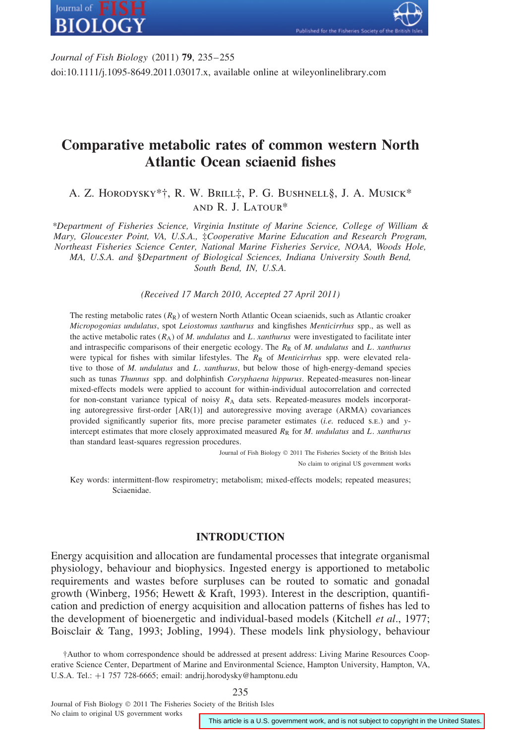



*Journal of Fish Biology* (2011) **79**, 235–255 doi:10.1111/j.1095-8649.2011.03017.x, available online at wileyonlinelibrary.com

### **Comparative metabolic rates of common western North Atlantic Ocean sciaenid fishes**

A. Z. Horodysky\*†, R. W. Brill‡, P. G. Bushnell§, J. A. Musick\* and R. J. Latour\*

*\*Department of Fisheries Science, Virginia Institute of Marine Science, College of William & Mary, Gloucester Point, VA, U.S.A.,* ‡*Cooperative Marine Education and Research Program, Northeast Fisheries Science Center, National Marine Fisheries Service, NOAA, Woods Hole, MA, U.S.A. and* §*Department of Biological Sciences, Indiana University South Bend, South Bend, IN, U.S.A.*

*(Received 17 March 2010, Accepted 27 April 2011)*

The resting metabolic rates  $(R_R)$  of western North Atlantic Ocean sciaenids, such as Atlantic croaker *Micropogonias undulatus*, spot *Leiostomus xanthurus* and kingfishes *Menticirrhus* spp., as well as the active metabolic rates  $(R_A)$  of *M. undulatus* and *L. xanthurus* were investigated to facilitate inter and intraspecific comparisons of their energetic ecology. The  $R_R$  of  $M$ . *undulatus* and  $L$ . *xanthurus* were typical for fishes with similar lifestyles. The  $R_R$  of *Menticirrhus* spp. were elevated relative to those of *M. undulatus* and *L*. *xanthurus*, but below those of high-energy-demand species such as tunas *Thunnus* spp. and dolphinfish *Coryphaena hippurus*. Repeated-measures non-linear mixed-effects models were applied to account for within-individual autocorrelation and corrected for non-constant variance typical of noisy *R*<sup>A</sup> data sets. Repeated-measures models incorporating autoregressive first-order [AR(1)] and autoregressive moving average (ARMA) covariances provided significantly superior fits, more precise parameter estimates (*i.e.* reduced s.e.) and *y*intercept estimates that more closely approximated measured  $R_R$  for *M. undulatus* and *L. xanthurus* than standard least-squares regression procedures.

> Journal of Fish Biology © 2011 The Fisheries Society of the British Isles No claim to original US government works

Key words: intermittent-flow respirometry; metabolism; mixed-effects models; repeated measures; Sciaenidae.

#### **INTRODUCTION**

Energy acquisition and allocation are fundamental processes that integrate organismal physiology, behaviour and biophysics. Ingested energy is apportioned to metabolic requirements and wastes before surpluses can be routed to somatic and gonadal growth (Winberg, 1956; Hewett & Kraft, 1993). Interest in the description, quantification and prediction of energy acquisition and allocation patterns of fishes has led to the development of bioenergetic and individual-based models (Kitchell *et al*., 1977; Boisclair & Tang, 1993; Jobling, 1994). These models link physiology, behaviour

†Author to whom correspondence should be addressed at present address: Living Marine Resources Cooperative Science Center, Department of Marine and Environmental Science, Hampton University, Hampton, VA, U.S.A. Tel.: +1 757 728-6665; email: andrij.horodysky@hamptonu.edu

235

Journal of Fish Biology © 2011 The Fisheries Society of the British Isles

No claim to original US government works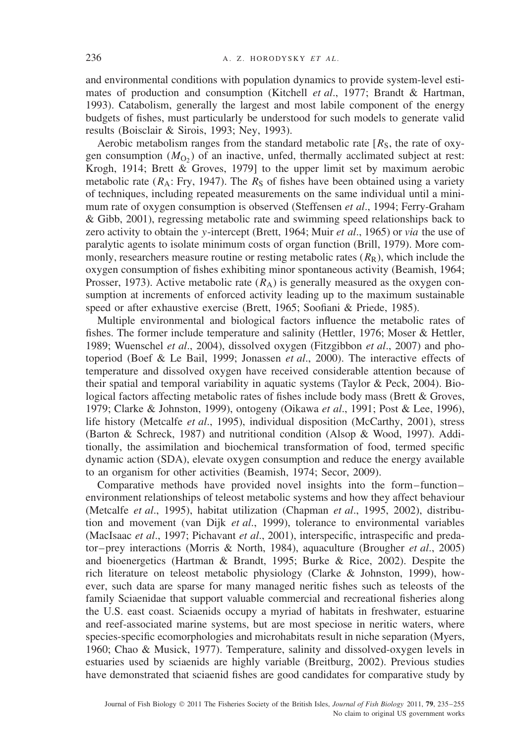and environmental conditions with population dynamics to provide system-level estimates of production and consumption (Kitchell *et al*., 1977; Brandt & Hartman, 1993). Catabolism, generally the largest and most labile component of the energy budgets of fishes, must particularly be understood for such models to generate valid results (Boisclair & Sirois, 1993; Ney, 1993).

Aerobic metabolism ranges from the standard metabolic rate  $[R<sub>S</sub>$ , the rate of oxygen consumption  $(M<sub>O<sub>2</sub></sub>)$  of an inactive, unfed, thermally acclimated subject at rest: Krogh, 1914; Brett & Groves, 1979] to the upper limit set by maximum aerobic metabolic rate ( $R_A$ : Fry, 1947). The  $R_S$  of fishes have been obtained using a variety of techniques, including repeated measurements on the same individual until a minimum rate of oxygen consumption is observed (Steffensen *et al*., 1994; Ferry-Graham & Gibb, 2001), regressing metabolic rate and swimming speed relationships back to zero activity to obtain the *y*-intercept (Brett, 1964; Muir *et al*., 1965) or *via* the use of paralytic agents to isolate minimum costs of organ function (Brill, 1979). More commonly, researchers measure routine or resting metabolic rates  $(R_R)$ , which include the oxygen consumption of fishes exhibiting minor spontaneous activity (Beamish, 1964; Prosser, 1973). Active metabolic rate  $(R_A)$  is generally measured as the oxygen consumption at increments of enforced activity leading up to the maximum sustainable speed or after exhaustive exercise (Brett, 1965; Soofiani & Priede, 1985).

Multiple environmental and biological factors influence the metabolic rates of fishes. The former include temperature and salinity (Hettler, 1976; Moser & Hettler, 1989; Wuenschel *et al*., 2004), dissolved oxygen (Fitzgibbon *et al*., 2007) and photoperiod (Boef & Le Bail, 1999; Jonassen *et al*., 2000). The interactive effects of temperature and dissolved oxygen have received considerable attention because of their spatial and temporal variability in aquatic systems (Taylor & Peck, 2004). Biological factors affecting metabolic rates of fishes include body mass (Brett & Groves, 1979; Clarke & Johnston, 1999), ontogeny (Oikawa *et al*., 1991; Post & Lee, 1996), life history (Metcalfe *et al*., 1995), individual disposition (McCarthy, 2001), stress (Barton & Schreck, 1987) and nutritional condition (Alsop & Wood, 1997). Additionally, the assimilation and biochemical transformation of food, termed specific dynamic action (SDA), elevate oxygen consumption and reduce the energy available to an organism for other activities (Beamish, 1974; Secor, 2009).

Comparative methods have provided novel insights into the form–function– environment relationships of teleost metabolic systems and how they affect behaviour (Metcalfe *et al*., 1995), habitat utilization (Chapman *et al*., 1995, 2002), distribution and movement (van Dijk *et al*., 1999), tolerance to environmental variables (MacIsaac *et al*., 1997; Pichavant *et al*., 2001), interspecific, intraspecific and predator–prey interactions (Morris & North, 1984), aquaculture (Brougher *et al*., 2005) and bioenergetics (Hartman & Brandt, 1995; Burke & Rice, 2002). Despite the rich literature on teleost metabolic physiology (Clarke & Johnston, 1999), however, such data are sparse for many managed neritic fishes such as teleosts of the family Sciaenidae that support valuable commercial and recreational fisheries along the U.S. east coast. Sciaenids occupy a myriad of habitats in freshwater, estuarine and reef-associated marine systems, but are most speciose in neritic waters, where species-specific ecomorphologies and microhabitats result in niche separation (Myers, 1960; Chao & Musick, 1977). Temperature, salinity and dissolved-oxygen levels in estuaries used by sciaenids are highly variable (Breitburg, 2002). Previous studies have demonstrated that sciaenid fishes are good candidates for comparative study by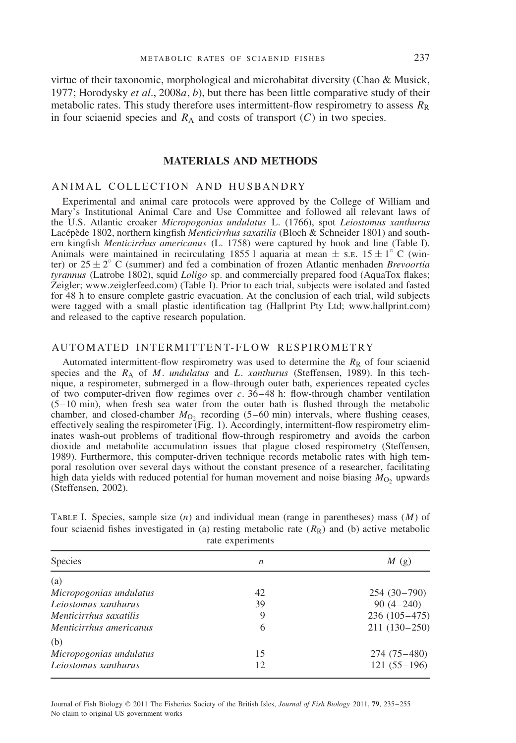virtue of their taxonomic, morphological and microhabitat diversity (Chao & Musick, 1977; Horodysky *et al*., 2008*a, b*), but there has been little comparative study of their metabolic rates. This study therefore uses intermittent-flow respirometry to assess  $R_R$ in four sciaenid species and  $R_A$  and costs of transport  $(C)$  in two species.

### **MATERIALS AND METHODS**

#### ANIMAL COLLECTION AND HUSBANDRY

Experimental and animal care protocols were approved by the College of William and Mary's Institutional Animal Care and Use Committee and followed all relevant laws of the U.S. Atlantic croaker *Micropogonias undulatus* L. (1766), spot *Leiostomus xanthurus* Lacépède 1802, northern kingfish *Menticirrhus saxatilis* (Bloch & Schneider 1801) and southern kingfish *Menticirrhus americanus* (L. 1758) were captured by hook and line (Table I). Animals were maintained in recirculating 1855 l aquaria at mean  $\pm$  s.e. 15  $\pm$  1 $\degree$  C (winter) or 25 ± 2◦ C (summer) and fed a combination of frozen Atlantic menhaden *Brevoortia tyrannus* (Latrobe 1802), squid *Loligo* sp. and commercially prepared food (AquaTox flakes; Zeigler; www.zeiglerfeed.com) (Table I). Prior to each trial, subjects were isolated and fasted for 48 h to ensure complete gastric evacuation. At the conclusion of each trial, wild subjects were tagged with a small plastic identification tag (Hallprint Pty Ltd; www.hallprint.com) and released to the captive research population.

#### AUTOMATED INTERMITTENT-FLOW RESPIROMETRY

Automated intermittent-flow respirometry was used to determine the  $R_R$  of four sciaenid species and the *R*<sup>A</sup> of *M*. *undulatus* and *L*. *xanthurus* (Steffensen, 1989). In this technique, a respirometer, submerged in a flow-through outer bath, experiences repeated cycles of two computer-driven flow regimes over *c.* 36–48 h: flow-through chamber ventilation (5–10 min), when fresh sea water from the outer bath is flushed through the metabolic chamber, and closed-chamber  $M<sub>O<sub>2</sub></sub>$  recording (5–60 min) intervals, where flushing ceases, effectively sealing the respirometer (Fig. 1). Accordingly, intermittent-flow respirometry eliminates wash-out problems of traditional flow-through respirometry and avoids the carbon dioxide and metabolite accumulation issues that plague closed respirometry (Steffensen, 1989). Furthermore, this computer-driven technique records metabolic rates with high temporal resolution over several days without the constant presence of a researcher, facilitating high data yields with reduced potential for human movement and noise biasing  $M<sub>O</sub>$ , upwards (Steffensen, 2002).

| Species                 | n  | $M$ (g)        |
|-------------------------|----|----------------|
| (a)                     |    |                |
| Micropogonias undulatus | 42 | $254(30-790)$  |
| Leiostomus xanthurus    | 39 | $90(4-240)$    |
| Menticirrhus saxatilis  | 9  | $236(105-475)$ |
| Menticirrhus americanus | 6  | $211(130-250)$ |
| (b)                     |    |                |
| Micropogonias undulatus | 15 | $274(75-480)$  |
| Leiostomus xanthurus    | 12 | $121(55-196)$  |
|                         |    |                |

Table I. Species, sample size (*n*) and individual mean (range in parentheses) mass (*M*) of four sciaenid fishes investigated in (a) resting metabolic rate  $(R_R)$  and (b) active metabolic rate experiments

Journal of Fish Biology © 2011 The Fisheries Society of the British Isles, *Journal of Fish Biology* 2011, **79**, 235–255 No claim to original US government works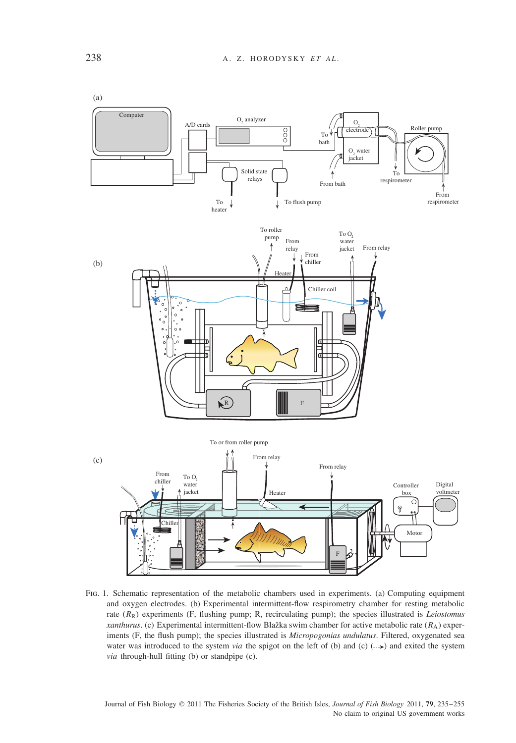

Fig. 1. Schematic representation of the metabolic chambers used in experiments. (a) Computing equipment and oxygen electrodes. (b) Experimental intermittent-flow respirometry chamber for resting metabolic rate (*R*R) experiments (F, flushing pump; R, recirculating pump); the species illustrated is *Leiostomus xanthurus*. (c) Experimental intermittent-flow Blažka swim chamber for active metabolic rate (R<sub>A</sub>) experiments (F, the flush pump); the species illustrated is *Micropogonias undulatus*. Filtered, oxygenated sea water was introduced to the system *via* the spigot on the left of (b) and (c)  $\left(\cdots\right)$  and exited the system *via* through-hull fitting (b) or standpipe (c).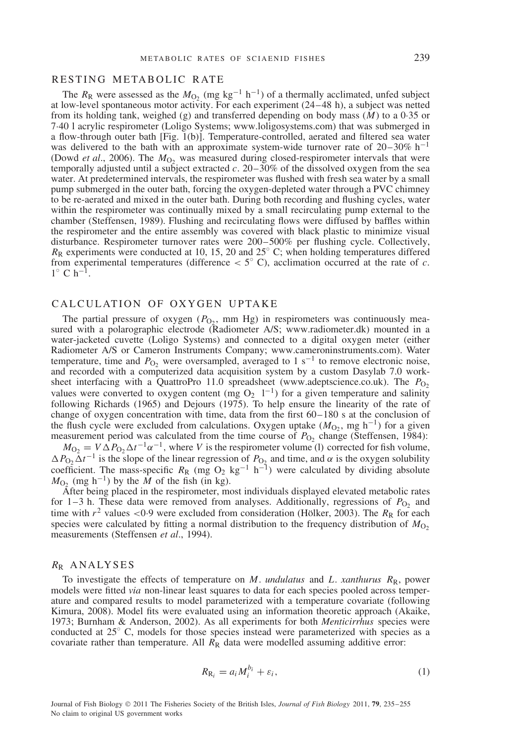#### RESTING METABOLIC RATE

The  $R_R$  were assessed as the  $M_{O_2}$  (mg kg<sup>-1</sup> h<sup>-1</sup>) of a thermally acclimated, unfed subject at low-level spontaneous motor activity. For each experiment (24–48 h), a subject was netted from its holding tank, weighed (g) and transferred depending on body mass (*M*) to a 0·35 or 7·40 l acrylic respirometer (Loligo Systems; www.loligosystems.com) that was submerged in a flow-through outer bath [Fig. 1(b)]. Temperature-controlled, aerated and filtered sea water was delivered to the bath with an approximate system-wide turnover rate of 20–30% h<sup>-1</sup> (Dowd *et al.*, 2006). The  $M_{O_2}$  was measured during closed-respirometer intervals that were temporally adjusted until a subject extracted *c.* 20–30% of the dissolved oxygen from the sea water. At predetermined intervals, the respirometer was flushed with fresh sea water by a small pump submerged in the outer bath, forcing the oxygen-depleted water through a PVC chimney to be re-aerated and mixed in the outer bath. During both recording and flushing cycles, water within the respirometer was continually mixed by a small recirculating pump external to the chamber (Steffensen, 1989). Flushing and recirculating flows were diffused by baffles within the respirometer and the entire assembly was covered with black plastic to minimize visual disturbance. Respirometer turnover rates were 200–500% per flushing cycle. Collectively,  $R_R$  experiments were conducted at 10, 15, 20 and 25 $\degree$  C; when holding temperatures differed from experimental temperatures (difference  $\langle 5^\circ \rangle$  C), acclimation occurred at the rate of *c*.  $1^\circ$  C h<sup>-1</sup>.

#### CALCULATION OF OXYGEN UPTAKE

The partial pressure of oxygen  $(P<sub>O</sub>$ , mm Hg) in respirometers was continuously measured with a polarographic electrode (Radiometer A/S; www.radiometer.dk) mounted in a water-jacketed cuvette (Loligo Systems) and connected to a digital oxygen meter (either Radiometer A/S or Cameron Instruments Company; www.cameroninstruments.com). Water temperature, time and  $P_{O_2}$  were oversampled, averaged to  $1 \text{ s}^{-1}$  to remove electronic noise, and recorded with a computerized data acquisition system by a custom Dasylab 7.0 worksheet interfacing with a QuattroPro 11.0 spreadsheet (www.adeptscience.co.uk). The  $P_{\text{O}_2}$ values were converted to oxygen content (mg  $O_2$  1<sup>-1</sup>) for a given temperature and salinity following Richards (1965) and Dejours (1975). To help ensure the linearity of the rate of change of oxygen concentration with time, data from the first 60–180 s at the conclusion of the flush cycle were excluded from calculations. Oxygen uptake ( $M<sub>O</sub>$ , mg h<sup>-1</sup>) for a given measurement period was calculated from the time course of  $P_{\text{O}_2}$  change (Steffensen, 1984):

 $M_{\text{O}_2} = V \Delta P_{\text{O}_2} \Delta t^{-1} \alpha^{-1}$ , where *V* is the respirometer volume (1) corrected for fish volume,  $\Delta P_{Q_2} \Delta t^{-1}$  is the slope of the linear regression of  $P_{Q_2}$  and time, and *α* is the oxygen solubility coefficient. The mass-specific  $R_R$  (mg O<sub>2</sub> kg<sup>-1</sup> h<sup>-1</sup>) were calculated by dividing absolute  $M_{\text{O}_2}$  (mg h<sup>-1</sup>) by the  $\hat{M}$  of the fish (in kg).

After being placed in the respirometer, most individuals displayed elevated metabolic rates for 1–3 h. These data were removed from analyses. Additionally, regressions of  $P_{\text{O}_2}$  and time with  $r^2$  values <0.9 were excluded from consideration (Hölker, 2003). The  $R_R$  for each species were calculated by fitting a normal distribution to the frequency distribution of  $M_{\text{O}_2}$ measurements (Steffensen *et al*., 1994).

#### *R*<sup>R</sup> ANALYSES

To investigate the effects of temperature on *M*. *undulatus* and *L. xanthurus*  $R_R$ , power models were fitted *via* non-linear least squares to data for each species pooled across temperature and compared results to model parameterized with a temperature covariate (following Kimura, 2008). Model fits were evaluated using an information theoretic approach (Akaike, 1973; Burnham & Anderson, 2002). As all experiments for both *Menticirrhus* species were conducted at 25◦ C, models for those species instead were parameterized with species as a covariate rather than temperature. All  $\overline{R}_R$  data were modelled assuming additive error:

$$
R_{\mathcal{R}_i} = a_i M_i^{b_i} + \varepsilon_i,\tag{1}
$$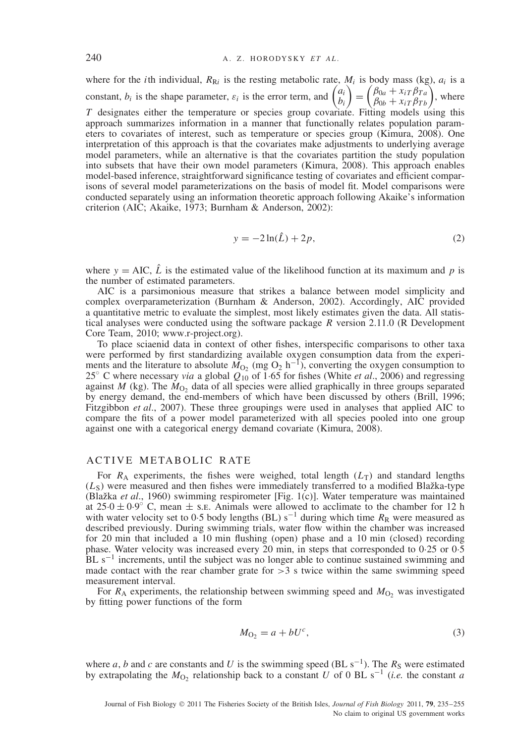where for the *i*th individual,  $R_{\text{R}i}$  is the resting metabolic rate,  $M_i$  is body mass (kg),  $a_i$  is a constant,  $b_i$  is the shape parameter,  $\varepsilon_i$  is the error term, and  $\begin{pmatrix} a_i \\ b_i \end{pmatrix}$ *bi*  $\left(\begin{array}{c} \beta_{0a} + x_{iT} \beta_{Ta} \\ \beta_{0b} + x_{iT} \beta_{Tb} \end{array}\right)$ , where *T* designates either the temperature or species group covariate. Fitting models using this approach summarizes information in a manner that functionally relates population parameters to covariates of interest, such as temperature or species group (Kimura, 2008). One interpretation of this approach is that the covariates make adjustments to underlying average model parameters, while an alternative is that the covariates partition the study population into subsets that have their own model parameters (Kimura, 2008). This approach enables model-based inference, straightforward significance testing of covariates and efficient comparisons of several model parameterizations on the basis of model fit. Model comparisons were conducted separately using an information theoretic approach following Akaike's information criterion (AIC; Akaike, 1973; Burnham & Anderson, 2002):

$$
y = -2\ln(\hat{L}) + 2p,\tag{2}
$$

where  $y = AIC$ ,  $\hat{L}$  is the estimated value of the likelihood function at its maximum and p is the number of estimated parameters.

AIC is a parsimonious measure that strikes a balance between model simplicity and complex overparameterization (Burnham & Anderson, 2002). Accordingly, AIC provided a quantitative metric to evaluate the simplest, most likely estimates given the data. All statistical analyses were conducted using the software package *R* version 2.11.0 (R Development Core Team, 2010; www.r-project.org).

To place sciaenid data in context of other fishes, interspecific comparisons to other taxa were performed by first standardizing available oxygen consumption data from the experiments and the literature to absolute  $\tilde{M_{\rm O2}}$  (mg O<sub>2</sub> h<sup>-1</sup>), converting the oxygen consumption to 25◦ C where necessary *via* a global *Q*<sup>10</sup> of 1·65 for fishes (White *et al*., 2006) and regressing against  $M$  (kg). The  $M<sub>O<sub>2</sub></sub>$  data of all species were allied graphically in three groups separated by energy demand, the end-members of which have been discussed by others (Brill, 1996; Fitzgibbon *et al*., 2007). These three groupings were used in analyses that applied AIC to compare the fits of a power model parameterized with all species pooled into one group against one with a categorical energy demand covariate (Kimura, 2008).

#### ACTIVE METABOLIC RATE

For  $R_A$  experiments, the fishes were weighed, total length  $(L_T)$  and standard lengths  $(L<sub>S</sub>)$  were measured and then fishes were immediately transferred to a modified Blažka-type (Blažka et al., 1960) swimming respirometer [Fig. 1(c)]. Water temperature was maintained at  $25.0 \pm 0.9^\circ$  C, mean  $\pm$  s.e. Animals were allowed to acclimate to the chamber for 12 h with water velocity set to 0.5 body lengths (BL) s<sup>-1</sup> during which time  $R_R$  were measured as described previously. During swimming trials, water flow within the chamber was increased for 20 min that included a 10 min flushing (open) phase and a 10 min (closed) recording phase. Water velocity was increased every 20 min, in steps that corresponded to 0·25 or 0·5  $BL s^{-1}$  increments, until the subject was no longer able to continue sustained swimming and made contact with the rear chamber grate for *>*3 s twice within the same swimming speed measurement interval.

For  $R_A$  experiments, the relationship between swimming speed and  $M_O$ , was investigated by fitting power functions of the form

$$
M_{\mathcal{O}_2} = a + bU^c,\tag{3}
$$

where *a*, *b* and *c* are constants and *U* is the swimming speed (BL s<sup>-1</sup>). The  $R_S$  were estimated by extrapolating the  $M_{\text{O}_2}$  relationship back to a constant *U* of 0 BL s<sup>-1</sup> (*i.e.* the constant *a*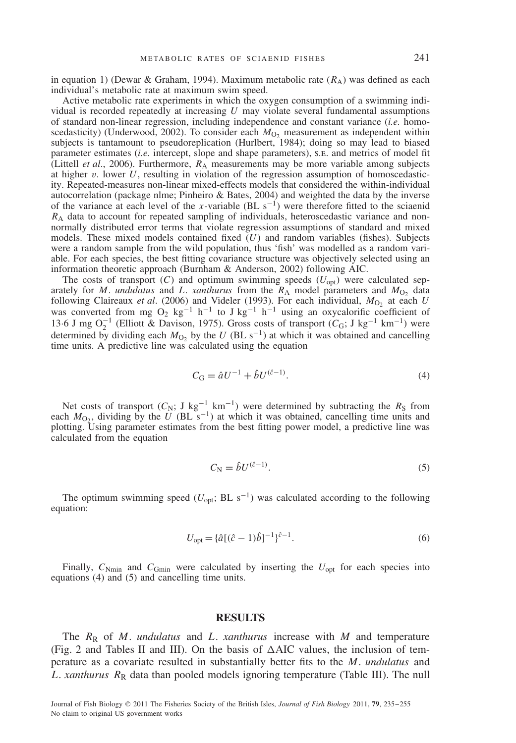in equation 1) (Dewar & Graham, 1994). Maximum metabolic rate  $(R_A)$  was defined as each individual's metabolic rate at maximum swim speed.

Active metabolic rate experiments in which the oxygen consumption of a swimming individual is recorded repeatedly at increasing *U* may violate several fundamental assumptions of standard non-linear regression, including independence and constant variance (*i.e.* homoscedasticity) (Underwood, 2002). To consider each  $M<sub>O<sub>2</sub></sub>$  measurement as independent within subjects is tantamount to pseudoreplication (Hurlbert, 1984); doing so may lead to biased parameter estimates (*i.e.* intercept, slope and shape parameters), s.e. and metrics of model fit (Littell *et al.*, 2006). Furthermore,  $R_A$  measurements may be more variable among subjects at higher  $v$ . lower  $U$ , resulting in violation of the regression assumption of homoscedasticity. Repeated-measures non-linear mixed-effects models that considered the within-individual autocorrelation (package nlme; Pinheiro & Bates, 2004) and weighted the data by the inverse of the variance at each level of the *x*-variable (BL s<sup>-1</sup>) were therefore fitted to the sciaenid  $R_A$  data to account for repeated sampling of individuals, heteroscedastic variance and nonnormally distributed error terms that violate regression assumptions of standard and mixed models. These mixed models contained fixed (*U*) and random variables (fishes). Subjects were a random sample from the wild population, thus 'fish' was modelled as a random variable. For each species, the best fitting covariance structure was objectively selected using an information theoretic approach (Burnham & Anderson, 2002) following AIC.

The costs of transport  $(C)$  and optimum swimming speeds  $(U_{opt})$  were calculated separately for *M*. *undulatus* and *L*. *xanthurus* from the  $R_A$  model parameters and  $M_O$ , data following Claireaux *et al.* (2006) and Videler (1993). For each individual,  $M_{O_2}$  at each *U* was converted from mg O<sub>2</sub> kg<sup>-1</sup> h<sup>-1</sup> to J kg<sup>-1</sup> h<sup>-1</sup> using an oxycalorific coefficient of 13·6 J mg O−<sup>1</sup> <sup>2</sup> (Elliott & Davison, 1975). Gross costs of transport (*C*G; J kg<sup>−</sup><sup>1</sup> km<sup>−</sup>1) were determined by dividing each  $M_{O_2}$  by the *U* (BL s<sup>-1</sup>) at which it was obtained and cancelling time units. A predictive line was calculated using the equation

$$
C_{\mathcal{G}} = \hat{a}U^{-1} + \hat{b}U^{(\hat{c}-1)}.
$$
 (4)

Net costs of transport ( $C_N$ ; J kg<sup>-1</sup> km<sup>-1</sup>) were determined by subtracting the  $R_S$  from each  $M_{\text{O}_2}$ , dividing by the *U* (BL s<sup>-1</sup>) at which it was obtained, cancelling time units and plotting. Using parameter estimates from the best fitting power model, a predictive line was calculated from the equation

$$
C_{\rm N} = \hat{b} U^{(\hat{c}-1)}.
$$
\n<sup>(5)</sup>

The optimum swimming speed ( $U_{\text{opt}}$ ; BL s<sup>-1</sup>) was calculated according to the following equation:

$$
U_{\text{opt}} = {\hat{a}[(\hat{c} - 1)\hat{b}]^{-1}}^{\hat{c}-1}.
$$
\n(6)

Finally,  $C_{Nmin}$  and  $C_{Gmin}$  were calculated by inserting the  $U_{opt}$  for each species into equations (4) and (5) and cancelling time units.

#### **RESULTS**

The  $R_R$  of  $M$ . *undulatus* and  $L$ . *xanthurus* increase with  $M$  and temperature (Fig. 2 and Tables II and III). On the basis of  $\triangle$ AIC values, the inclusion of temperature as a covariate resulted in substantially better fits to the *M*. *undulatus* and *L*. *xanthurus*  $R_R$  data than pooled models ignoring temperature (Table III). The null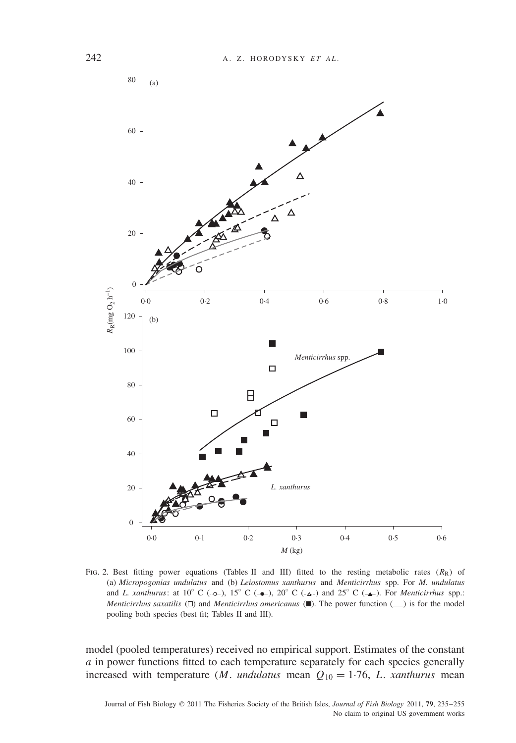

FIG. 2. Best fitting power equations (Tables II and III) fitted to the resting metabolic rates  $(R_R)$  of (a) *Micropogonias undulatus* and (b) *Leiostomus xanthurus* and *Menticirrhus* spp. For *M. undulatus* and *L. xanthurus*: at 10<sup>°</sup> C (-o-), 15<sup>°</sup> C (- $\bullet$ -), 20<sup>°</sup> C (- $\bullet$ -) and 25<sup>°</sup> C (- $\bullet$ ). For *Menticirrhus* spp.: *Menticirrhus saxatilis* ( $\square$ ) and *Menticirrhus americanus* ( $\square$ ). The power function ( $\_\)$ ) is for the model pooling both species (best fit; Tables II and III).

model (pooled temperatures) received no empirical support. Estimates of the constant *a* in power functions fitted to each temperature separately for each species generally increased with temperature (*M. undulatus* mean  $Q_{10} = 1.76$ , *L. xanthurus* mean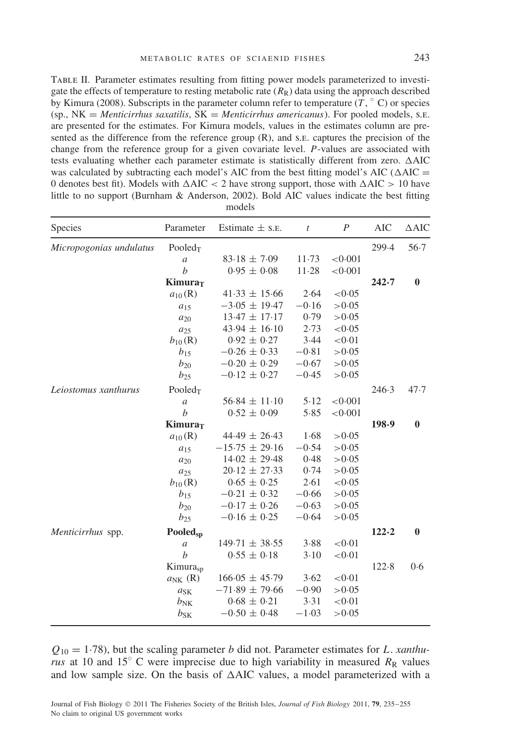Table II. Parameter estimates resulting from fitting power models parameterized to investigate the effects of temperature to resting metabolic rate  $(R_R)$  data using the approach described by Kimura (2008). Subscripts in the parameter column refer to temperature  $(T, \circ C)$  or species  $(s_p, NK = M$ *enticirrhus saxatilis*,  $SK = M$ *enticirrhus americanus*). For pooled models, s.e. are presented for the estimates. For Kimura models, values in the estimates column are presented as the difference from the reference group  $(R)$ , and s.e. captures the precision of the change from the reference group for a given covariate level. *P*-values are associated with tests evaluating whether each parameter estimate is statistically different from zero.  $\Delta AIC$ was calculated by subtracting each model's AIC from the best fitting model's AIC  $(\Delta AIC =$ 0 denotes best fit). Models with  $\triangle AIC < 2$  have strong support, those with  $\triangle AIC > 10$  have little to no support (Burnham & Anderson, 2002). Bold AIC values indicate the best fitting models

| Species                 | Parameter                  | Estimate $\pm$ s.e. | $\boldsymbol{t}$ | $\boldsymbol{P}$ | <b>AIC</b> | $\triangle$ AIC |
|-------------------------|----------------------------|---------------------|------------------|------------------|------------|-----------------|
| Micropogonias undulatus | $Pooled_T$                 |                     |                  |                  | 299.4      | $56-7$          |
|                         | $\mathfrak a$              | $83.18 \pm 7.09$    | 11.73            | < 0.001          |            |                 |
|                         | $\boldsymbol{b}$           | $0.95 \pm 0.08$     | $11-28$          | < 0.001          |            |                 |
|                         | <b>Kimura</b> T            |                     |                  |                  | $242 - 7$  | $\bf{0}$        |
|                         | $a_{10}$ (R)               | $41.33 \pm 15.66$   | 2.64             | < 0.05           |            |                 |
|                         | $a_{15}$                   | $-3.05 \pm 19.47$   | $-0.16$          | >0.05            |            |                 |
|                         | $a_{20}$                   | $13.47 \pm 17.17$   | 0.79             | >0.05            |            |                 |
|                         | $a_{25}$                   | $43.94 \pm 16.10$   | 2.73             | < 0.05           |            |                 |
|                         | $b_{10}$ (R)               | $0.92 \pm 0.27$     | 3.44             | < 0.01           |            |                 |
|                         | $b_{15}$                   | $-0.26 \pm 0.33$    | $-0.81$          | >0.05            |            |                 |
|                         | $b_{20}$                   | $-0.20 \pm 0.29$    | $-0.67$          | >0.05            |            |                 |
|                         | $b_{25}$                   | $-0.12 \pm 0.27$    | $-0.45$          | >0.05            |            |                 |
| Leiostomus xanthurus    | $Pooled_T$                 |                     |                  |                  | 246.3      | 47.7            |
|                         | $\boldsymbol{a}$           | $56.84 \pm 11.10$   | 5.12             | < 0.001          |            |                 |
|                         | $\boldsymbol{b}$           | $0.52 \pm 0.09$     | 5.85             | < 0.001          |            |                 |
|                         | <b>Kimura</b> <sub>T</sub> |                     |                  |                  | 198.9      | $\bf{0}$        |
|                         | $a_{10}$ (R)               | $44.49 \pm 26.43$   | 1.68             | >0.05            |            |                 |
|                         | $a_{15}$                   | $-15.75 \pm 29.16$  | $-0.54$          | >0.05            |            |                 |
|                         | $a_{20}$                   | $14.02 \pm 29.48$   | 0.48             | >0.05            |            |                 |
|                         | $a_{25}$                   | $20.12 \pm 27.33$   | 0.74             | >0.05            |            |                 |
|                         | $b_{10}$ (R)               | $0.65 \pm 0.25$     | 2.61             | < 0.05           |            |                 |
|                         | $b_{15}$                   | $-0.21 \pm 0.32$    | $-0.66$          | >0.05            |            |                 |
|                         | $b_{20}$                   | $-0.17 \pm 0.26$    | $-0.63$          | >0.05            |            |                 |
|                         | $b_{25}$                   | $-0.16 \pm 0.25$    | $-0.64$          | >0.05            |            |                 |
| Menticirrhus spp.       | Pooled <sub>sp</sub>       |                     |                  |                  | $122 - 2$  | $\bf{0}$        |
|                         | $\boldsymbol{a}$           | $149.71 \pm 38.55$  | 3.88             | < 0.01           |            |                 |
|                         | $\boldsymbol{b}$           | $0.55 \pm 0.18$     | 3.10             | < 0.01           |            |                 |
|                         | Kimura <sub>sp</sub>       |                     |                  |                  | 122.8      | 0.6             |
|                         | $a_{NK}$ (R)               | $166.05 \pm 45.79$  | 3.62             | < 0.01           |            |                 |
|                         | $a_{SK}$                   | $-71.89 \pm 79.66$  | $-0.90$          | >0.05            |            |                 |
|                         | $b_{\rm NK}$               | $0.68 \pm 0.21$     | 3.31             | < 0.01           |            |                 |
|                         | $b_{SK}$                   | $-0.50 \pm 0.48$    | $-1.03$          | >0.05            |            |                 |
|                         |                            |                     |                  |                  |            |                 |

 $Q_{10} = 1.78$ ), but the scaling parameter *b* did not. Parameter estimates for *L. xanthurus* at 10 and 15<sup>°</sup> C were imprecise due to high variability in measured  $R_R$  values and low sample size. On the basis of  $\triangle$ AIC values, a model parameterized with a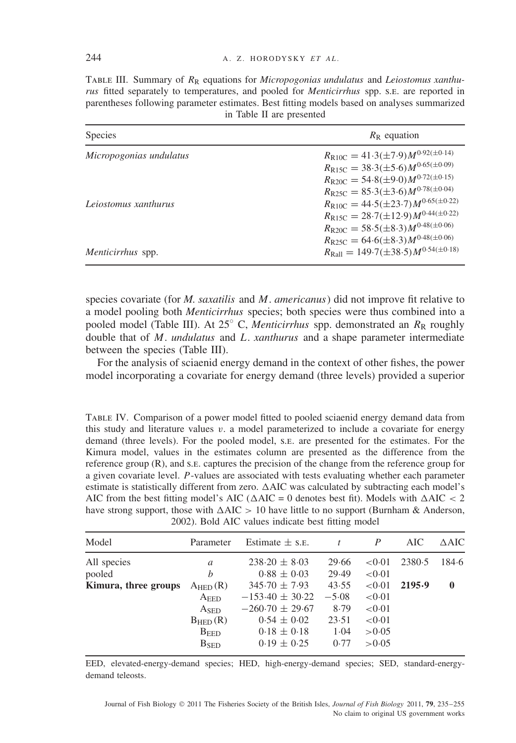TABLE III. Summary of  $R_R$  equations for *Micropogonias undulatus* and *Leiostomus xanthurus* fitted separately to temperatures, and pooled for *Menticirrhus* spp. s.e. are reported in parentheses following parameter estimates. Best fitting models based on analyses summarized in Table II are presented

| <b>Species</b>          | $R_{\rm R}$ equation                                                                                     |
|-------------------------|----------------------------------------------------------------------------------------------------------|
| Micropogonias undulatus | $R_{\rm R10C} = 41.3(\pm 7.9)M^{0.92(\pm 0.14)}$<br>$R_{\rm R15C} = 38.3(\pm 5.6)M^{0.65(\pm 0.09)}$     |
|                         | $R_{\rm R20C} = 54.8(\pm 9.0)M^{0.72(\pm 0.15)}$                                                         |
| Leiostomus xanthurus    | $R_{\rm R25C} = 85.3(\pm 3.6)M^{0.78(\pm 0.04)}$<br>$R_{\rm R10C} = 44.5(\pm 23.7)M^{0.65(\pm 0.22)}$    |
|                         | $R_{\rm R15C} = 28.7(\pm 12.9)M^{0.44(\pm 0.22)}$<br>$R_{\text{R20C}} = 58.5(\pm 8.3)M^{0.48(\pm 0.06)}$ |
|                         | $R_{\text{R25C}} = 64.6(\pm 8.3)M^{0.48(\pm 0.06)}$                                                      |
| Menticirrhus spp.       | $R_{\text{Rall}} = 149.7(\pm 38.5)M^{0.54(\pm 0.18)}$                                                    |

species covariate (for *M. saxatilis* and *M*. *americanus*) did not improve fit relative to a model pooling both *Menticirrhus* species; both species were thus combined into a pooled model (Table III). At 25<sup>°</sup> C, *Menticirrhus* spp. demonstrated an  $R_R$  roughly double that of *M. undulatus* and *L*. *xanthurus* and a shape parameter intermediate between the species (Table III).

For the analysis of sciaenid energy demand in the context of other fishes, the power model incorporating a covariate for energy demand (three levels) provided a superior

Table IV. Comparison of a power model fitted to pooled sciaenid energy demand data from this study and literature values *v.* a model parameterized to include a covariate for energy demand (three levels). For the pooled model, s.e. are presented for the estimates. For the Kimura model, values in the estimates column are presented as the difference from the reference group (R), and s.e. captures the precision of the change from the reference group for a given covariate level. *P*-values are associated with tests evaluating whether each parameter estimate is statistically different from zero.  $\Delta AIC$  was calculated by subtracting each model's AIC from the best fitting model's AIC ( $\triangle$ AIC = 0 denotes best fit). Models with  $\triangle$ AIC < 2 have strong support, those with  $\Delta AIC > 10$  have little to no support (Burnham & Anderson, 2002). Bold AIC values indicate best fitting model

| Model                | Parameter           | Estimate $\pm$ s.e. |         | P      | AIC    | $\triangle$ AIC |
|----------------------|---------------------|---------------------|---------|--------|--------|-----------------|
| All species          | $\mathfrak a$       | $238.20 \pm 8.03$   | 29.66   | < 0.01 | 2380.5 | 184.6           |
| pooled               | h                   | $0.88 \pm 0.03$     | 29.49   | < 0.01 |        |                 |
| Kimura, three groups | $A_{\text{HED}}(R)$ | $345.70 \pm 7.93$   | 43.55   | < 0.01 | 2195.9 | $\bf{0}$        |
|                      | $A_{\rm EED}$       | $-153.40 \pm 30.22$ | $-5.08$ | < 0.01 |        |                 |
|                      | A <sub>SED</sub>    | $-260.70 \pm 29.67$ | 8.79    | < 0.01 |        |                 |
|                      | $B_{\text{HED}}(R)$ | $0.54 \pm 0.02$     | 23.51   | < 0.01 |        |                 |
|                      | B <sub>EED</sub>    | $0.18 \pm 0.18$     | 1.04    | >0.05  |        |                 |
|                      | B <sub>SED</sub>    | $0.19 \pm 0.25$     | 0.77    | > 0.05 |        |                 |

EED, elevated-energy-demand species; HED, high-energy-demand species; SED, standard-energydemand teleosts.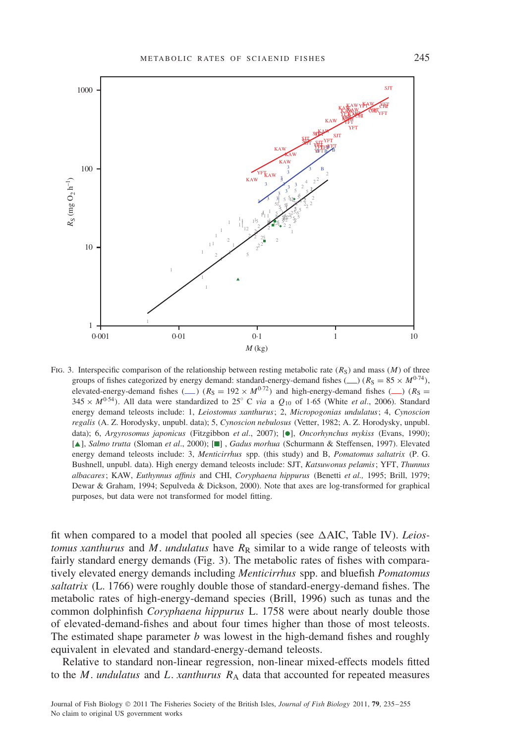

Fig. 3. Interspecific comparison of the relationship between resting metabolic rate ( $R_S$ ) and mass (*M*) of three groups of fishes categorized by energy demand: standard-energy-demand fishes ( $\Box$ ) ( $R_S = 85 \times M^{0.74}$ ), elevated-energy-demand fishes ( $\Box$ ) ( $R_S = 192 \times M^{0.72}$ ) and high-energy-demand fishes ( $\Box$ ) ( $R_S =$ 345  $\times$  *M*<sup>0-54</sup>). All data were standardized to 25<sup>°</sup> C *via* a  $Q_{10}$  of 1·65 (White *et al.*, 2006). Standard energy demand teleosts include: 1, *Leiostomus xanthurus*; 2, *Micropogonias undulatus*; 4, *Cynoscion regalis* (A. Z. Horodysky, unpubl. data); 5, *Cynoscion nebulosus* (Vetter, 1982; A. Z. Horodysky, unpubl. data); 6, *Argyrosomus japonicus* (Fitzgibbon *et al.*, 2007); [<sup>•</sup>], *Oncorhynchus mykiss* (Evans, 1990); [ ], *Salmo trutta* (Sloman *et al*., 2000); [ ] , *Gadus morhua* (Schurmann & Steffensen, 1997). Elevated energy demand teleosts include: 3, *Menticirrhus* spp. (this study) and B, *Pomatomus saltatrix* (P. G. Bushnell, unpubl. data). High energy demand teleosts include: SJT, *Katsuwonus pelamis*; YFT, *Thunnus albacares*; KAW, *Euthynnus affinis* and CHI, *Coryphaena hippurus* (Benetti *et al.,* 1995; Brill, 1979; Dewar & Graham, 1994; Sepulveda & Dickson, 2000). Note that axes are log-transformed for graphical purposes, but data were not transformed for model fitting.

fit when compared to a model that pooled all species (see  $\triangle$ AIC, Table IV). *Leiostomus xanthurus* and *M. undulatus* have  $R_R$  similar to a wide range of teleosts with fairly standard energy demands (Fig. 3). The metabolic rates of fishes with comparatively elevated energy demands including *Menticirrhus* spp. and bluefish *Pomatomus saltatrix* (L. 1766) were roughly double those of standard-energy-demand fishes. The metabolic rates of high-energy-demand species (Brill, 1996) such as tunas and the common dolphinfish *Coryphaena hippurus* L. 1758 were about nearly double those of elevated-demand-fishes and about four times higher than those of most teleosts. The estimated shape parameter *b* was lowest in the high-demand fishes and roughly equivalent in elevated and standard-energy-demand teleosts.

Relative to standard non-linear regression, non-linear mixed-effects models fitted to the  $M$ . *undulatus* and  $L$ . *xanthurus*  $R_A$  data that accounted for repeated measures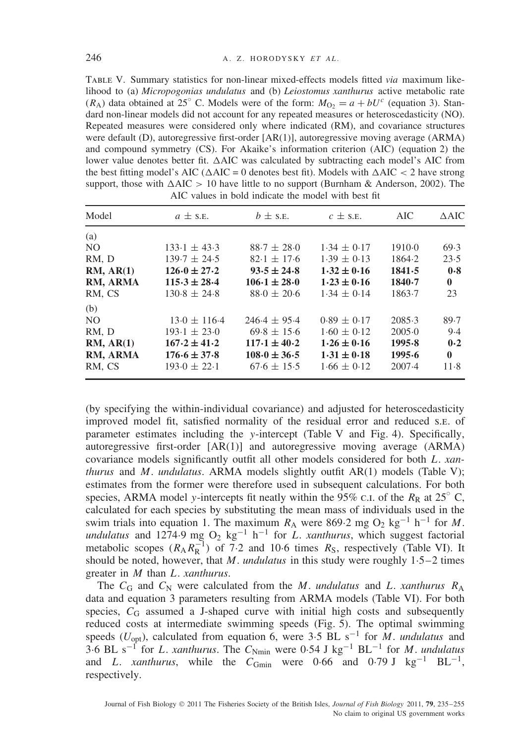Table V. Summary statistics for non-linear mixed-effects models fitted *via* maximum likelihood to (a) *Micropogonias undulatus* and (b) *Leiostomus xanthurus* active metabolic rate  $(R_A)$  data obtained at 25<sup>°</sup> C. Models were of the form:  $M_{\Omega_2} = a + bU^c$  (equation 3). Standard non-linear models did not account for any repeated measures or heteroscedasticity (NO). Repeated measures were considered only where indicated (RM), and covariance structures were default (D), autoregressive first-order [AR(1)], autoregressive moving average (ARMA) and compound symmetry (CS). For Akaike's information criterion (AIC) (equation 2) the lower value denotes better fit.  $\triangle$ AIC was calculated by subtracting each model's AIC from the best fitting model's AIC ( $\triangle AIC = 0$  denotes best fit). Models with  $\triangle AIC < 2$  have strong support, those with  $\Delta AIC > 10$  have little to no support (Burnham & Anderson, 2002). The AIC values in bold indicate the model with best fit

| Model          | $a \pm$ S.E.     | $b \pm$ S.E.     | $c \pm$ S.E.    | <b>AIC</b> | $\triangle$ AIC |
|----------------|------------------|------------------|-----------------|------------|-----------------|
| (a)            |                  |                  |                 |            |                 |
| N <sub>O</sub> | $133.1 \pm 43.3$ | $88.7 \pm 28.0$  | $1.34 \pm 0.17$ | 1910.0     | 69.3            |
| RM, D          | $139.7 \pm 24.5$ | $82.1 \pm 17.6$  | $1.39 \pm 0.13$ | 1864.2     | 23.5            |
| RM, AR(1)      | $126.0 \pm 27.2$ | $93.5 \pm 24.8$  | $1.32 \pm 0.16$ | 1841.5     | 0.8             |
| RM, ARMA       | $115.3 \pm 28.4$ | $106.1 \pm 28.0$ | $1.23 \pm 0.16$ | 1840.7     | $\bf{0}$        |
| RM, CS         | $130.8 \pm 24.8$ | $88.0 \pm 20.6$  | $1.34 \pm 0.14$ | 1863.7     | 23              |
| (b)            |                  |                  |                 |            |                 |
| N <sub>O</sub> | $13.0 \pm 116.4$ | $246.4 \pm 95.4$ | $0.89 \pm 0.17$ | 2085.3     | 89.7            |
| RM. D          | $193.1 \pm 23.0$ | $69.8 \pm 15.6$  | $1.60 \pm 0.12$ | 2005.0     | 9.4             |
| RM, AR(1)      | $167.2 \pm 41.2$ | $117.1 \pm 40.2$ | $1.26 \pm 0.16$ | 1995.8     | 0.2             |
| RM, ARMA       | $176.6 \pm 37.8$ | $108.0 \pm 36.5$ | $1.31 \pm 0.18$ | 1995.6     | $\mathbf{0}$    |
| RM, CS         | $193.0 \pm 22.1$ | $67.6 \pm 15.5$  | $1.66 \pm 0.12$ | $2007-4$   | $11-8$          |

(by specifying the within-individual covariance) and adjusted for heteroscedasticity improved model fit, satisfied normality of the residual error and reduced s.e. of parameter estimates including the *y*-intercept (Table V and Fig. 4). Specifically, autoregressive first-order [AR(1)] and autoregressive moving average (ARMA) covariance models significantly outfit all other models considered for both *L*. *xanthurus* and *M*. *undulatus*. ARMA models slightly outfit AR(1) models (Table V); estimates from the former were therefore used in subsequent calculations. For both species, ARMA model *y*-intercepts fit neatly within the 95% c.i. of the  $R_R$  at 25<sup>°</sup> C, calculated for each species by substituting the mean mass of individuals used in the swim trials into equation 1. The maximum  $R_A$  were 869·2 mg O<sub>2</sub> kg<sup>-1</sup> h<sup>-1</sup> for *M*. *undulatus* and 1274.9 mg O<sub>2</sub> kg<sup>-1</sup> h<sup>-1</sup> for *L. xanthurus*, which suggest factorial metabolic scopes  $(R_A R_R^{-1})$  of 7·2 and 10·6 times  $R_S$ , respectively (Table VI). It should be noted, however, that *M*. *undulatus* in this study were roughly 1·5–2 times greater in *M* than *L*. *xanthurus*.

The  $C_G$  and  $C_N$  were calculated from the *M*. *undulatus* and *L*. *xanthurus*  $R_A$ data and equation 3 parameters resulting from ARMA models (Table VI). For both species, C<sub>G</sub> assumed a J-shaped curve with initial high costs and subsequently reduced costs at intermediate swimming speeds (Fig. 5). The optimal swimming speeds ( $U_{\text{opt}}$ ), calculated from equation 6, were 3.5 BL s<sup>-1</sup> for *M*. *undulatus* and 3·6 BL s−<sup>1</sup> for *L*. *xanthurus*. The *C*Nmin were 0·54 J kg−<sup>1</sup> BL−<sup>1</sup> for *M*. *undulatus* and *L*. *xanthurus*, while the  $C_{Gmin}$  were 0.66 and 0.79 J kg<sup>-1</sup> BL<sup>-1</sup>, respectively.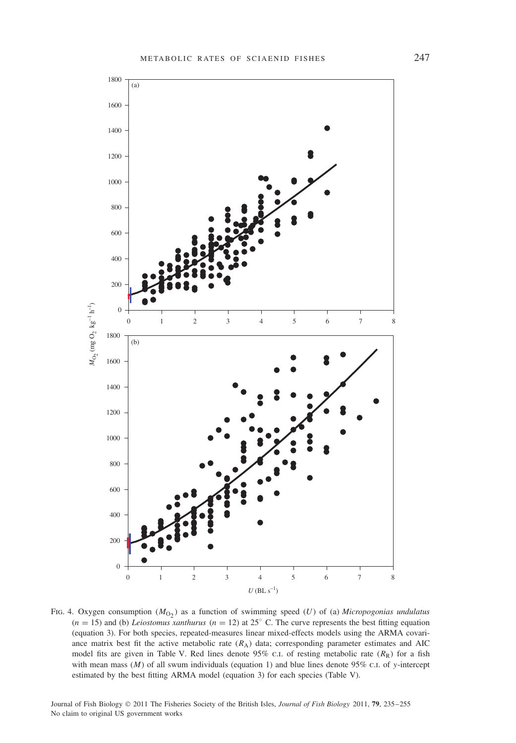

FIG. 4. Oxygen consumption ( $M<sub>O<sub>2</sub></sub>$ ) as a function of swimming speed (*U*) of (a) *Micropogonias undulatus*  $(n = 15)$  and (b) *Leiostomus xanthurus*  $(n = 12)$  at 25<sup>°</sup> C. The curve represents the best fitting equation (equation 3). For both species, repeated-measures linear mixed-effects models using the ARMA covariance matrix best fit the active metabolic rate  $(R_A)$  data; corresponding parameter estimates and AIC model fits are given in Table V. Red lines denote  $95\%$  c.i. of resting metabolic rate ( $R<sub>R</sub>$ ) for a fish with mean mass (*M*) of all swum individuals (equation 1) and blue lines denote 95% c.i. of *y*-intercept estimated by the best fitting ARMA model (equation 3) for each species (Table V).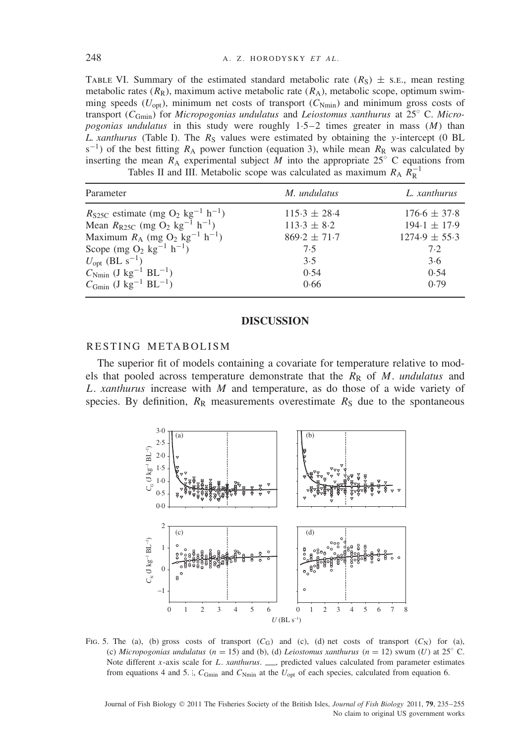#### 248 A. Z. HORODYSKY *ET AL* .

TABLE VI. Summary of the estimated standard metabolic rate  $(R<sub>S</sub>) \pm$  s.e., mean resting metabolic rates  $(R_R)$ , maximum active metabolic rate  $(R_A)$ , metabolic scope, optimum swimming speeds ( $U_{\text{opt}}$ ), minimum net costs of transport ( $C_{\text{Nmin}}$ ) and minimum gross costs of transport (*C*Gmin) for *Micropogonias undulatus* and *Leiostomus xanthurus* at 25◦ C. *Micropogonias undulatus* in this study were roughly 1·5–2 times greater in mass (*M*) than *L. xanthurus* (Table I). The  $R<sub>S</sub>$  values were estimated by obtaining the *y*-intercept (0 BL  $s^{-1}$ ) of the best fitting  $R_A$  power function (equation 3), while mean  $R_R$  was calculated by inserting the mean  $R_A$  experimental subject  $M$  into the appropriate 25<sup>°</sup> C equations from Tables II and III. Metabolic scope was calculated as maximum  $R_A R_R^{-1}$ 

| Parameter                                                                     | M. undulatus     | L. xanthurus      |
|-------------------------------------------------------------------------------|------------------|-------------------|
| $R_{\rm S25C}$ estimate (mg O <sub>2</sub> kg <sup>-1</sup> h <sup>-1</sup> ) | $115.3 \pm 28.4$ | $176.6 \pm 37.8$  |
| Mean $R_{\rm R25C}$ (mg O <sub>2</sub> kg <sup>-1</sup> h <sup>-1</sup> )     | $113.3 \pm 8.2$  | $194.1 \pm 17.9$  |
| Maximum $R_A$ (mg O <sub>2</sub> kg <sup>-1</sup> h <sup>-1</sup> )           | $869.2 \pm 71.7$ | $1274.9 \pm 55.3$ |
| Scope (mg $O_2$ kg <sup>-1</sup> h <sup>-1</sup> )                            | 7.5              | 7.2               |
| $U_{\text{opt}}$ (BL s <sup>-1</sup> )                                        | 3.5              | 3.6               |
| $C_{\text{Nmin}}$ (J kg <sup>-1</sup> BL <sup>-1</sup> )                      | 0.54             | 0.54              |
| $C_{\text{Gmin}}$ (J kg <sup>-1</sup> BL <sup>-1</sup> )                      | 0.66             | 0.79              |

#### **DISCUSSION**

#### RESTING METABOLISM

The superior fit of models containing a covariate for temperature relative to models that pooled across temperature demonstrate that the  $R_R$  of  $M$ . *undulatus* and *L*. *xanthurus* increase with *M* and temperature, as do those of a wide variety of species. By definition,  $R_R$  measurements overestimate  $R_S$  due to the spontaneous



FIG. 5. The (a), (b) gross costs of transport  $(C_G)$  and (c), (d) net costs of transport  $(C_N)$  for (a), (c) *Micropogonias undulatus* ( $n = 15$ ) and (b), (d) *Leiostomus xanthurus* ( $n = 12$ ) swum (*U*) at 25<sup>°</sup> C. Note different *x*-axis scale for *L. xanthurus*. <sub>,</sub> predicted values calculated from parameter estimates from equations 4 and 5.  $C_{Gmin}$  and  $C_{Nmin}$  at the  $U_{opt}$  of each species, calculated from equation 6.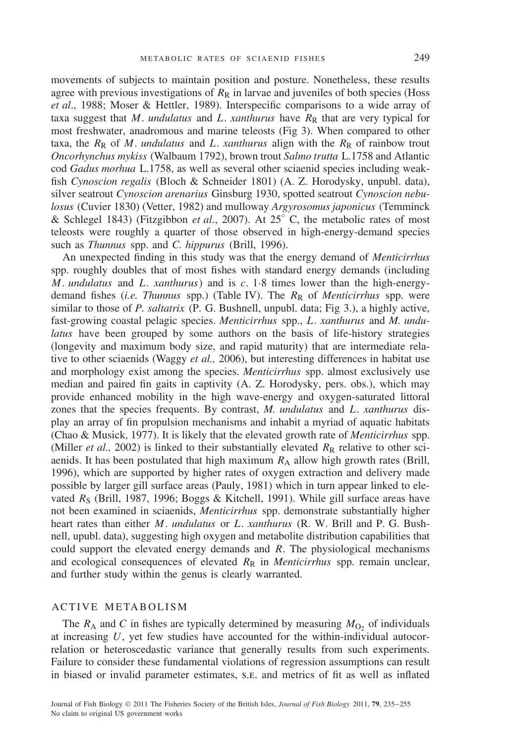movements of subjects to maintain position and posture. Nonetheless, these results agree with previous investigations of  $R<sub>R</sub>$  in larvae and juveniles of both species (Hoss *et al*., 1988; Moser & Hettler, 1989). Interspecific comparisons to a wide array of taxa suggest that  $M$ . *undulatus* and  $L$ . *xanthurus* have  $R_R$  that are very typical for most freshwater, anadromous and marine teleosts (Fig 3). When compared to other taxa, the  $R_R$  of  $M$ . *undulatus* and  $L$ . *xanthurus* align with the  $R_R$  of rainbow trout *Oncorhynchus mykiss* (Walbaum 1792), brown trout *Salmo trutta* L.1758 and Atlantic cod *Gadus morhua* L.1758, as well as several other sciaenid species including weakfish *Cynoscion regalis* (Bloch & Schneider 1801) (A. Z. Horodysky, unpubl. data), silver seatrout *Cynoscion arenarius* Ginsburg 1930, spotted seatrout *Cynoscion nebulosus* (Cuvier 1830) (Vetter, 1982) and mulloway *Argyrosomus japonicus* (Temminck & Schlegel 1843) (Fitzgibbon *et al*., 2007). At 25◦ C, the metabolic rates of most teleosts were roughly a quarter of those observed in high-energy-demand species such as *Thunnus* spp. and *C. hippurus* (Brill, 1996).

An unexpected finding in this study was that the energy demand of *Menticirrhus* spp. roughly doubles that of most fishes with standard energy demands (including *M*. *undulatus* and *L*. *xanthurus*) and is *c.* 1·8 times lower than the high-energydemand fishes *(i.e. Thunnus* spp.) (Table IV). The  $R_R$  of *Menticirrhus* spp. were similar to those of *P. saltatrix* (P. G. Bushnell, unpubl. data; Fig 3.), a highly active, fast-growing coastal pelagic species. *Menticirrhus* spp., *L*. *xanthurus* and *M. undulatus* have been grouped by some authors on the basis of life-history strategies (longevity and maximum body size, and rapid maturity) that are intermediate relative to other sciaenids (Waggy *et al.,* 2006), but interesting differences in habitat use and morphology exist among the species. *Menticirrhus* spp. almost exclusively use median and paired fin gaits in captivity (A. Z. Horodysky, pers. obs.), which may provide enhanced mobility in the high wave-energy and oxygen-saturated littoral zones that the species frequents. By contrast, *M. undulatus* and *L*. *xanthurus* display an array of fin propulsion mechanisms and inhabit a myriad of aquatic habitats (Chao & Musick, 1977). It is likely that the elevated growth rate of *Menticirrhus* spp. (Miller *et al.*, 2002) is linked to their substantially elevated  $R<sub>R</sub>$  relative to other sciaenids. It has been postulated that high maximum  $R_A$  allow high growth rates (Brill, 1996), which are supported by higher rates of oxygen extraction and delivery made possible by larger gill surface areas (Pauly, 1981) which in turn appear linked to elevated *R*<sub>S</sub> (Brill, 1987, 1996; Boggs & Kitchell, 1991). While gill surface areas have not been examined in sciaenids, *Menticirrhus* spp. demonstrate substantially higher heart rates than either *M. undulatus* or *L*. *xanthurus* (R. W. Brill and P. G. Bushnell, upubl. data), suggesting high oxygen and metabolite distribution capabilities that could support the elevated energy demands and *R*. The physiological mechanisms and ecological consequences of elevated  $R<sub>R</sub>$  in *Menticirrhus* spp. remain unclear, and further study within the genus is clearly warranted.

#### ACTIVE METABOLISM

The  $R_A$  and C in fishes are typically determined by measuring  $M_O$ , of individuals at increasing *U*, yet few studies have accounted for the within-individual autocorrelation or heteroscedastic variance that generally results from such experiments. Failure to consider these fundamental violations of regression assumptions can result in biased or invalid parameter estimates, s.e. and metrics of fit as well as inflated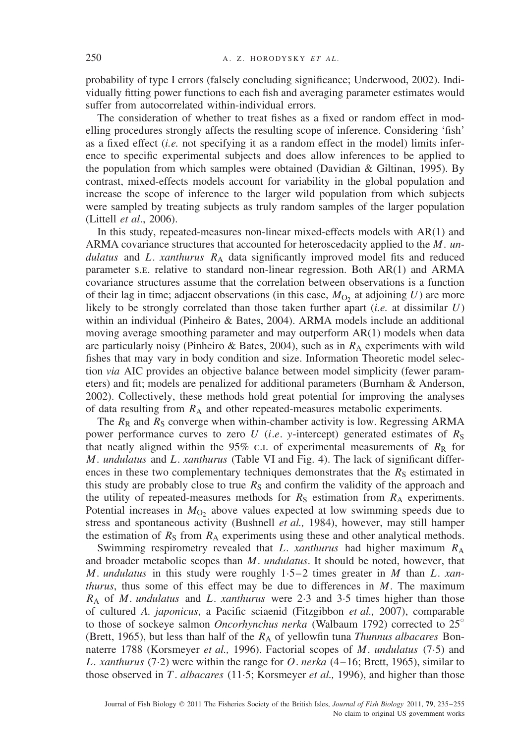probability of type I errors (falsely concluding significance; Underwood, 2002). Individually fitting power functions to each fish and averaging parameter estimates would suffer from autocorrelated within-individual errors.

The consideration of whether to treat fishes as a fixed or random effect in modelling procedures strongly affects the resulting scope of inference. Considering 'fish' as a fixed effect (*i.e.* not specifying it as a random effect in the model) limits inference to specific experimental subjects and does allow inferences to be applied to the population from which samples were obtained (Davidian & Giltinan, 1995). By contrast, mixed-effects models account for variability in the global population and increase the scope of inference to the larger wild population from which subjects were sampled by treating subjects as truly random samples of the larger population (Littell *et al*., 2006).

In this study, repeated-measures non-linear mixed-effects models with AR(1) and ARMA covariance structures that accounted for heteroscedacity applied to the *M*. *undulatus* and *L. xanthurus*  $R_A$  data significantly improved model fits and reduced parameter s.e. relative to standard non-linear regression. Both AR(1) and ARMA covariance structures assume that the correlation between observations is a function of their lag in time; adjacent observations (in this case,  $M_{\text{O}_2}$  at adjoining *U*) are more likely to be strongly correlated than those taken further apart (*i.e.* at dissimilar *U*) within an individual (Pinheiro & Bates, 2004). ARMA models include an additional moving average smoothing parameter and may outperform  $AR(1)$  models when data are particularly noisy (Pinheiro & Bates, 2004), such as in  $R_A$  experiments with wild fishes that may vary in body condition and size. Information Theoretic model selection *via* AIC provides an objective balance between model simplicity (fewer parameters) and fit; models are penalized for additional parameters (Burnham & Anderson, 2002). Collectively, these methods hold great potential for improving the analyses of data resulting from  $R_A$  and other repeated-measures metabolic experiments.

The  $R_R$  and  $R_S$  converge when within-chamber activity is low. Regressing ARMA power performance curves to zero  $U$  (*i.e.* y-intercept) generated estimates of  $R<sub>S</sub>$ that neatly aligned within the 95% c.I. of experimental measurements of  $R_R$  for *M*. *undulatus* and *L*. *xanthurus* (Table VI and Fig. 4). The lack of significant differences in these two complementary techniques demonstrates that the  $R<sub>S</sub>$  estimated in this study are probably close to true  $R<sub>S</sub>$  and confirm the validity of the approach and the utility of repeated-measures methods for  $R<sub>S</sub>$  estimation from  $R<sub>A</sub>$  experiments. Potential increases in  $M_{\text{O}_2}$  above values expected at low swimming speeds due to stress and spontaneous activity (Bushnell *et al.,* 1984), however, may still hamper the estimation of  $R<sub>S</sub>$  from  $R<sub>A</sub>$  experiments using these and other analytical methods.

Swimming respirometry revealed that *L*. *xanthurus* had higher maximum *R*<sup>A</sup> and broader metabolic scopes than *M*. *undulatus*. It should be noted, however, that *M*. *undulatus* in this study were roughly 1·5–2 times greater in *M* than *L*. *xanthurus*, thus some of this effect may be due to differences in *M*. The maximum *R*<sup>A</sup> of *M*. *undulatus* and *L*. *xanthurus* were 2·3 and 3·5 times higher than those of cultured *A. japonicus*, a Pacific sciaenid (Fitzgibbon *et al.,* 2007), comparable to those of sockeye salmon *Oncorhynchus nerka* (Walbaum 1792) corrected to 25◦ (Brett, 1965), but less than half of the  $R_A$  of yellowfin tuna *Thunnus albacares* Bonnaterre 1788 (Korsmeyer *et al.,* 1996). Factorial scopes of *M*. *undulatus* (7·5) and *L*. *xanthurus* (7·2) were within the range for *O*. *nerka* (4–16; Brett, 1965), similar to those observed in *T* . *albacares* (11·5; Korsmeyer *et al.,* 1996), and higher than those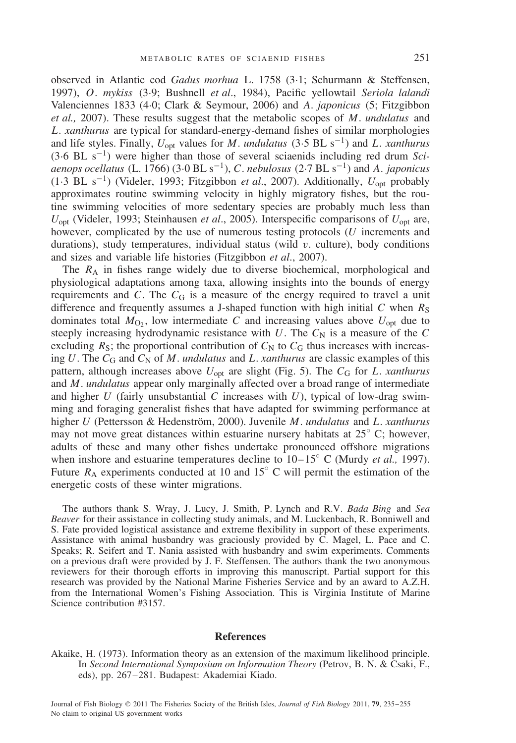observed in Atlantic cod *Gadus morhua* L. 1758 (3·1; Schurmann & Steffensen, 1997), *O*. *mykiss* (3·9; Bushnell *et al*., 1984), Pacific yellowtail *Seriola lalandi* Valenciennes 1833 (4·0; Clark & Seymour, 2006) and *A*. *japonicus* (5; Fitzgibbon *et al.,* 2007). These results suggest that the metabolic scopes of *M*. *undulatus* and *L*. *xanthurus* are typical for standard-energy-demand fishes of similar morphologies and life styles. Finally, *U*opt values for *M*. *undulatus* (3·5 BL s<sup>−</sup>1) and *L*. *xanthurus* (3·6 BL s<sup>−</sup>1) were higher than those of several sciaenids including red drum *Sciaenops ocellatus* (L. 1766) (3·0 BL s<sup>−</sup>1), *C*. *nebulosus* (2·7 BL s−1*)* and *A*. *japonicus* (1·3 BL s<sup>−</sup>1) (Videler, 1993; Fitzgibbon *et al*., 2007). Additionally, *U*opt probably approximates routine swimming velocity in highly migratory fishes, but the routine swimming velocities of more sedentary species are probably much less than *U*<sub>ont</sub> (Videler, 1993; Steinhausen *et al.*, 2005). Interspecific comparisons of *U*<sub>opt</sub> are, however, complicated by the use of numerous testing protocols (*U* increments and durations), study temperatures, individual status (wild *v*. culture), body conditions and sizes and variable life histories (Fitzgibbon *et al*., 2007).

The *R*<sup>A</sup> in fishes range widely due to diverse biochemical, morphological and physiological adaptations among taxa, allowing insights into the bounds of energy requirements and *C*. The  $C_G$  is a measure of the energy required to travel a unit difference and frequently assumes a J-shaped function with high initial  $C$  when  $R<sub>S</sub>$ dominates total  $M_{\text{O}_2}$ , low intermediate C and increasing values above  $U_{\text{opt}}$  due to steeply increasing hydrodynamic resistance with  $U$ . The  $C_N$  is a measure of the  $C$ excluding  $R<sub>S</sub>$ ; the proportional contribution of  $C<sub>N</sub>$  to  $C<sub>G</sub>$  thus increases with increasing *U*. The *C*<sub>G</sub> and *C*<sub>N</sub> of *M*. *undulatus* and *L*. *xanthurus* are classic examples of this pattern, although increases above  $U_{opt}$  are slight (Fig. 5). The  $C_G$  for *L. xanthurus* and *M*. *undulatus* appear only marginally affected over a broad range of intermediate and higher  $U$  (fairly unsubstantial  $C$  increases with  $U$ ), typical of low-drag swimming and foraging generalist fishes that have adapted for swimming performance at higher *U* (Pettersson & Hedenström, 2000). Juvenile *M. undulatus* and *L. xanthurus* may not move great distances within estuarine nursery habitats at  $25^\circ$  C; however, adults of these and many other fishes undertake pronounced offshore migrations when inshore and estuarine temperatures decline to 10–15◦ C (Murdy *et al.,* 1997). Future  $R_A$  experiments conducted at 10 and 15 $\degree$  C will permit the estimation of the energetic costs of these winter migrations.

The authors thank S. Wray, J. Lucy, J. Smith, P. Lynch and R.V. *Bada Bing* and *Sea Beaver* for their assistance in collecting study animals, and M. Luckenbach, R. Bonniwell and S. Fate provided logistical assistance and extreme flexibility in support of these experiments. Assistance with animal husbandry was graciously provided by C. Magel, L. Pace and C. Speaks; R. Seifert and T. Nania assisted with husbandry and swim experiments. Comments on a previous draft were provided by J. F. Steffensen. The authors thank the two anonymous reviewers for their thorough efforts in improving this manuscript. Partial support for this research was provided by the National Marine Fisheries Service and by an award to A.Z.H. from the International Women's Fishing Association. This is Virginia Institute of Marine Science contribution #3157.

#### **References**

Akaike, H. (1973). Information theory as an extension of the maximum likelihood principle. In *Second International Symposium on Information Theory* (Petrov, B. N. & Csaki, F., eds), pp. 267–281. Budapest: Akademiai Kiado.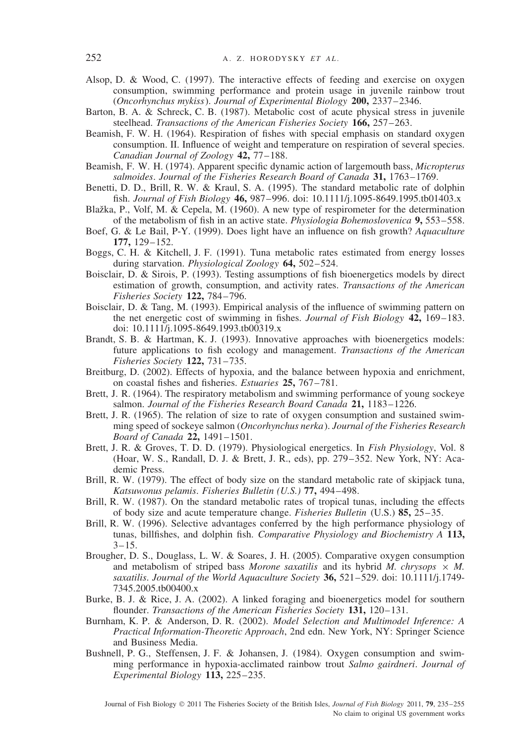- Alsop, D. & Wood, C. (1997). The interactive effects of feeding and exercise on oxygen consumption, swimming performance and protein usage in juvenile rainbow trout (*Oncorhynchus mykiss*). *Journal of Experimental Biology* **200,** 2337–2346.
- Barton, B. A. & Schreck, C. B. (1987). Metabolic cost of acute physical stress in juvenile steelhead. *Transactions of the American Fisheries Society* **166,** 257–263.
- Beamish, F. W. H. (1964). Respiration of fishes with special emphasis on standard oxygen consumption. II. Influence of weight and temperature on respiration of several species. *Canadian Journal of Zoology* **42,** 77–188.
- Beamish, F. W. H. (1974). Apparent specific dynamic action of largemouth bass, *Micropterus salmoides*. *Journal of the Fisheries Research Board of Canada* **31,** 1763–1769.
- Benetti, D. D., Brill, R. W. & Kraul, S. A. (1995). The standard metabolic rate of dolphin fish. *Journal of Fish Biology* **46,** 987–996. doi: 10.1111/j.1095-8649.1995.tb01403.x
- Blažka, P., Volf, M. & Cepela, M. (1960). A new type of respirometer for the determination of the metabolism of fish in an active state. *Physiologia Bohemoslovenica* **9,** 553–558.
- Boef, G. & Le Bail, P-Y. (1999). Does light have an influence on fish growth? *Aquaculture* **177,** 129–152.
- Boggs, C. H. & Kitchell, J. F. (1991). Tuna metabolic rates estimated from energy losses during starvation. *Physiological Zoology* **64,** 502–524.
- Boisclair, D. & Sirois, P. (1993). Testing assumptions of fish bioenergetics models by direct estimation of growth, consumption, and activity rates. *Transactions of the American Fisheries Society* **122,** 784–796.
- Boisclair, D. & Tang, M. (1993). Empirical analysis of the influence of swimming pattern on the net energetic cost of swimming in fishes. *Journal of Fish Biology* **42,** 169–183. doi: 10.1111/j.1095-8649.1993.tb00319.x
- Brandt, S. B. & Hartman, K. J. (1993). Innovative approaches with bioenergetics models: future applications to fish ecology and management. *Transactions of the American Fisheries Society* **122,** 731–735.
- Breitburg, D. (2002). Effects of hypoxia, and the balance between hypoxia and enrichment, on coastal fishes and fisheries. *Estuaries* **25,** 767–781.
- Brett, J. R. (1964). The respiratory metabolism and swimming performance of young sockeye salmon. *Journal of the Fisheries Research Board Canada* **21,** 1183–1226.
- Brett, J. R. (1965). The relation of size to rate of oxygen consumption and sustained swimming speed of sockeye salmon (*Oncorhynchus nerka*). *Journal of the Fisheries Research Board of Canada* **22,** 1491–1501.
- Brett, J. R. & Groves, T. D. D. (1979). Physiological energetics. In *Fish Physiology*, Vol. 8 (Hoar, W. S., Randall, D. J. & Brett, J. R., eds), pp. 279–352. New York, NY: Academic Press.
- Brill, R. W. (1979). The effect of body size on the standard metabolic rate of skipjack tuna, *Katsuwonus pelamis*. *Fisheries Bulletin (U.S.)* **77,** 494–498.
- Brill, R. W. (1987). On the standard metabolic rates of tropical tunas, including the effects of body size and acute temperature change. *Fisheries Bulletin* (U.S.) **85,** 25–35.
- Brill, R. W. (1996). Selective advantages conferred by the high performance physiology of tunas, billfishes, and dolphin fish. *Comparative Physiology and Biochemistry A* **113,**  $3 - 15$ .
- Brougher, D. S., Douglass, L. W. & Soares, J. H. (2005). Comparative oxygen consumption and metabolism of striped bass *Morone saxatilis* and its hybrid *M. chrysops*  $\times$  *M. saxatilis*. *Journal of the World Aquaculture Society* **36,** 521–529. doi: 10.1111/j.1749- 7345.2005.tb00400.x
- Burke, B. J. & Rice, J. A. (2002). A linked foraging and bioenergetics model for southern flounder. *Transactions of the American Fisheries Society* **131,** 120–131.
- Burnham, K. P. & Anderson, D. R. (2002). *Model Selection and Multimodel Inference: A Practical Information-Theoretic Approach*, 2nd edn. New York, NY: Springer Science and Business Media.
- Bushnell, P. G., Steffensen, J. F. & Johansen, J. (1984). Oxygen consumption and swimming performance in hypoxia-acclimated rainbow trout *Salmo gairdneri*. *Journal of Experimental Biology* **113,** 225–235.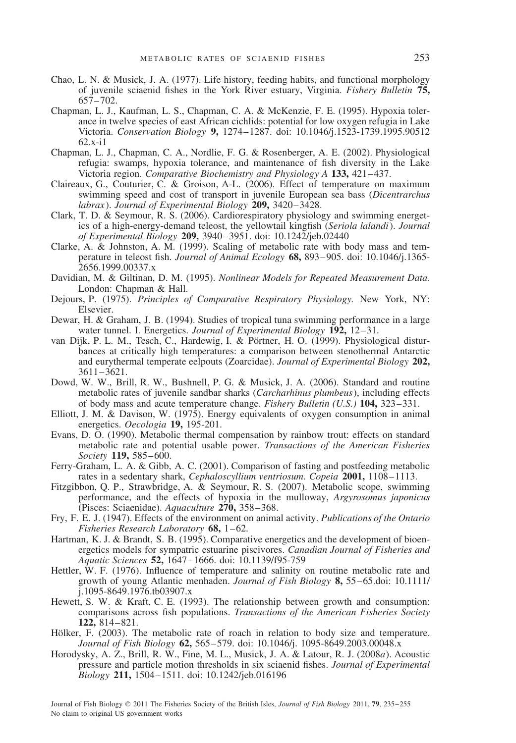- Chao, L. N. & Musick, J. A. (1977). Life history, feeding habits, and functional morphology of juvenile sciaenid fishes in the York River estuary, Virginia. *Fishery Bulletin* **75,** 657–702.
- Chapman, L. J., Kaufman, L. S., Chapman, C. A. & McKenzie, F. E. (1995). Hypoxia tolerance in twelve species of east African cichlids: potential for low oxygen refugia in Lake Victoria. *Conservation Biology* **9,** 1274–1287. doi: 10.1046/j.1523-1739.1995.90512 62.x-i1
- Chapman, L. J., Chapman, C. A., Nordlie, F. G. & Rosenberger, A. E. (2002). Physiological refugia: swamps, hypoxia tolerance, and maintenance of fish diversity in the Lake Victoria region. *Comparative Biochemistry and Physiology A* **133,** 421–437.
- Claireaux, G., Couturier, C. & Groison, A-L. (2006). Effect of temperature on maximum swimming speed and cost of transport in juvenile European sea bass (*Dicentrarchus labrax*). *Journal of Experimental Biology* **209,** 3420–3428.
- Clark, T. D. & Seymour, R. S. (2006). Cardiorespiratory physiology and swimming energetics of a high-energy-demand teleost, the yellowtail kingfish (*Seriola lalandi*). *Journal of Experimental Biology* **209,** 3940–3951. doi: 10.1242/jeb.02440
- Clarke, A. & Johnston, A. M. (1999). Scaling of metabolic rate with body mass and temperature in teleost fish. *Journal of Animal Ecology* **68,** 893–905. doi: 10.1046/j.1365- 2656.1999.00337.x
- Davidian, M. & Giltinan, D. M. (1995). *Nonlinear Models for Repeated Measurement Data.* London: Chapman & Hall.
- Dejours, P. (1975). *Principles of Comparative Respiratory Physiology.* New York, NY: Elsevier.
- Dewar, H. & Graham, J. B. (1994). Studies of tropical tuna swimming performance in a large water tunnel. I. Energetics. *Journal of Experimental Biology* **192,** 12–31.
- van Dijk, P. L. M., Tesch, C., Hardewig, I. & Pörtner, H. O. (1999). Physiological disturbances at critically high temperatures: a comparison between stenothermal Antarctic and eurythermal temperate eelpouts (Zoarcidae). *Journal of Experimental Biology* **202,** 3611–3621.
- Dowd, W. W., Brill, R. W., Bushnell, P. G. & Musick, J. A. (2006). Standard and routine metabolic rates of juvenile sandbar sharks (*Carcharhinus plumbeus*), including effects of body mass and acute temperature change. *Fishery Bulletin (U.S.)* **104,** 323–331.
- Elliott, J. M. & Davison, W. (1975). Energy equivalents of oxygen consumption in animal energetics. *Oecologia* **19,** 195-201.
- Evans, D. O. (1990). Metabolic thermal compensation by rainbow trout: effects on standard metabolic rate and potential usable power. *Transactions of the American Fisheries Society* **119,** 585–600.
- Ferry-Graham, L. A. & Gibb, A. C. (2001). Comparison of fasting and postfeeding metabolic rates in a sedentary shark, *Cephaloscyllium ventriosum*. *Copeia* **2001,** 1108–1113.
- Fitzgibbon, Q. P., Strawbridge, A. & Seymour, R. S. (2007). Metabolic scope, swimming performance, and the effects of hypoxia in the mulloway, *Argyrosomus japonicus* (Pisces: Sciaenidae). *Aquaculture* **270,** 358–368.
- Fry, F. E. J. (1947). Effects of the environment on animal activity. *Publications of the Ontario Fisheries Research Laboratory* **68,** 1–62.
- Hartman, K. J. & Brandt, S. B. (1995). Comparative energetics and the development of bioenergetics models for sympatric estuarine piscivores. *Canadian Journal of Fisheries and Aquatic Sciences* **52,** 1647–1666. doi: 10.1139/f95-759
- Hettler, W. F. (1976). Influence of temperature and salinity on routine metabolic rate and growth of young Atlantic menhaden. *Journal of Fish Biology* **8,** 55–65.doi: 10.1111/ j.1095-8649.1976.tb03907.x
- Hewett, S. W. & Kraft, C. E. (1993). The relationship between growth and consumption: comparisons across fish populations. *Transactions of the American Fisheries Society* **122,** 814–821.
- Hölker, F. (2003). The metabolic rate of roach in relation to body size and temperature. *Journal of Fish Biology* **62,** 565–579. doi: 10.1046/j. 1095-8649.2003.00048.x
- Horodysky, A. Z., Brill, R. W., Fine, M. L., Musick, J. A. & Latour, R. J. (2008*a*). Acoustic pressure and particle motion thresholds in six sciaenid fishes. *Journal of Experimental Biology* **211,** 1504–1511. doi: 10.1242/jeb.016196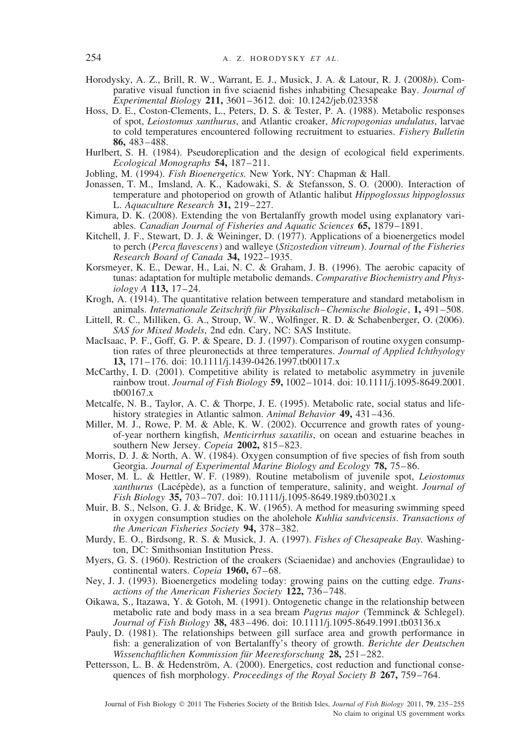- Horodysky, A. Z., Brill, R. W., Warrant, E. J., Musick, J. A. & Latour, R. J. (2008*b*). Comparative visual function in five sciaenid fishes inhabiting Chesapeake Bay. *Journal of Experimental Biology* **211,** 3601–3612. doi: 10.1242/jeb.023358
- Hoss, D. E., Coston-Clements, L., Peters, D. S. & Tester, P. A. (1988). Metabolic responses of spot, *Leiostomus xanthurus*, and Atlantic croaker, *Micropogonias undulatus*, larvae to cold temperatures encountered following recruitment to estuaries. *Fishery Bulletin* **86,** 483–488.
- Hurlbert, S. H. (1984). Pseudoreplication and the design of ecological field experiments. *Ecological Monographs* **54,** 187–211.
- Jobling, M. (1994). *Fish Bioenergetics.* New York, NY: Chapman & Hall.
- Jonassen, T. M., Imsland, A. K., Kadowaki, S. & Stefansson, S. O. (2000). Interaction of temperature and photoperiod on growth of Atlantic halibut *Hippoglossus hippoglossus* L. *Aquaculture Research* **31,** 219–227.
- Kimura, D. K. (2008). Extending the von Bertalanffy growth model using explanatory variables. *Canadian Journal of Fisheries and Aquatic Sciences* **65,** 1879–1891.
- Kitchell, J. F., Stewart, D. J. & Weininger, D. (1977). Applications of a bioenergetics model to perch (*Perca flavescens*) and walleye (*Stizostedion vitreum*). *Journal of the Fisheries Research Board of Canada* **34,** 1922–1935.
- Korsmeyer, K. E., Dewar, H., Lai, N. C. & Graham, J. B. (1996). The aerobic capacity of tunas: adaptation for multiple metabolic demands. *Comparative Biochemistry and Physiology A* **113,** 17–24.
- Krogh, A. (1914). The quantitative relation between temperature and standard metabolism in animals. *Internationale Zeitschrift für Physikalisch–Chemische Biologie*, **1,** 491–508.
- Littell, R. C., Milliken, G. A., Stroup, W. W., Wolfinger, R. D. & Schabenberger, O. (2006). *SAS for Mixed Models*, 2nd edn. Cary, NC: SAS Institute.
- MacIsaac, P. F., Goff, G. P. & Speare, D. J. (1997). Comparison of routine oxygen consumption rates of three pleuronectids at three temperatures. *Journal of Applied Ichthyology* **13,** 171–176. doi: 10.1111/j.1439-0426.1997.tb00117.x
- McCarthy, I. D. (2001). Competitive ability is related to metabolic asymmetry in juvenile rainbow trout. *Journal of Fish Biology* **59,** 1002–1014. doi: 10.1111/j.1095-8649.2001. tb00167.x
- Metcalfe, N. B., Taylor, A. C. & Thorpe, J. E. (1995). Metabolic rate, social status and lifehistory strategies in Atlantic salmon. *Animal Behavior* **49,** 431–436.
- Miller, M. J., Rowe, P. M. & Able, K. W. (2002). Occurrence and growth rates of youngof-year northern kingfish, *Menticirrhus saxatilis*, on ocean and estuarine beaches in southern New Jersey. *Copeia* **2002,** 815–823.
- Morris, D. J. & North, A. W. (1984). Oxygen consumption of five species of fish from south Georgia. *Journal of Experimental Marine Biology and Ecology* **78,** 75–86.
- Moser, M. L. & Hettler, W. F. (1989). Routine metabolism of juvenile spot, *Leiostomus xanthurus* (Lacépède), as a function of temperature, salinity, and weight. *Journal of Fish Biology* **35,** 703–707. doi: 10.1111/j.1095-8649.1989.tb03021.x
- Muir, B. S., Nelson, G. J. & Bridge, K. W. (1965). A method for measuring swimming speed in oxygen consumption studies on the aholehole *Kuhlia sandvicensis*. *Transactions of the American Fisheries Society* **94,** 378–382.
- Murdy, E. O., Birdsong, R. S. & Musick, J. A. (1997). *Fishes of Chesapeake Bay.* Washington, DC: Smithsonian Institution Press.
- Myers, G. S. (1960). Restriction of the croakers (Sciaenidae) and anchovies (Engraulidae) to continental waters. *Copeia* **1960,** 67–68.
- Ney, J. J. (1993). Bioenergetics modeling today: growing pains on the cutting edge. *Transactions of the American Fisheries Society* **122,** 736–748.
- Oikawa, S., Itazawa, Y. & Gotoh, M. (1991). Ontogenetic change in the relationship between metabolic rate and body mass in a sea bream *Pagrus major* (Temminck & Schlegel). *Journal of Fish Biology* **38,** 483–496. doi: 10.1111/j.1095-8649.1991.tb03136.x
- Pauly, D. (1981). The relationships between gill surface area and growth performance in fish: a generalization of von Bertalanffy's theory of growth. *Berichte der Deutschen Wissenchaftlichen Kommission für Meeresforschung* 28, 251–282.
- Pettersson, L. B. & Hedenström, A. (2000). Energetics, cost reduction and functional consequences of fish morphology. *Proceedings of the Royal Society B* **267,** 759–764.